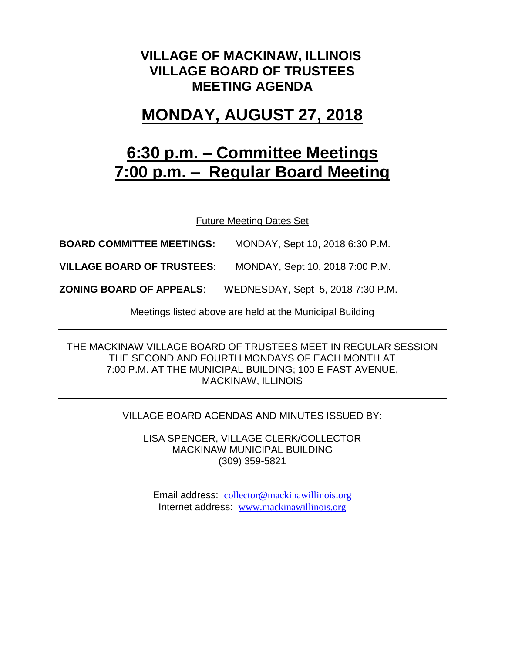### **VILLAGE OF MACKINAW, ILLINOIS VILLAGE BOARD OF TRUSTEES MEETING AGENDA**

## **MONDAY, AUGUST 27, 2018**

# **6:30 p.m. – Committee Meetings 7:00 p.m. – Regular Board Meeting**

Future Meeting Dates Set

**BOARD COMMITTEE MEETINGS:** MONDAY, Sept 10, 2018 6:30 P.M.

**VILLAGE BOARD OF TRUSTEES**: MONDAY, Sept 10, 2018 7:00 P.M.

**ZONING BOARD OF APPEALS**: WEDNESDAY, Sept 5, 2018 7:30 P.M.

Meetings listed above are held at the Municipal Building

THE MACKINAW VILLAGE BOARD OF TRUSTEES MEET IN REGULAR SESSION THE SECOND AND FOURTH MONDAYS OF EACH MONTH AT 7:00 P.M. AT THE MUNICIPAL BUILDING; 100 E FAST AVENUE, MACKINAW, ILLINOIS

#### VILLAGE BOARD AGENDAS AND MINUTES ISSUED BY:

LISA SPENCER, VILLAGE CLERK/COLLECTOR MACKINAW MUNICIPAL BUILDING (309) 359-5821

Email address: [collector@mackinawillinois.org](mailto:collector@mackinawillinois.org) Internet address: [www.mackinawillinois.org](http://www.mackinawillinois.org/)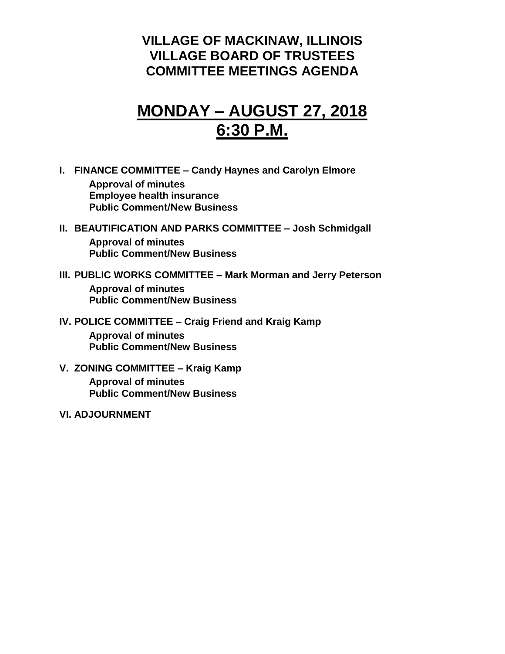### **VILLAGE OF MACKINAW, ILLINOIS VILLAGE BOARD OF TRUSTEES COMMITTEE MEETINGS AGENDA**

## **MONDAY – AUGUST 27, 2018 6:30 P.M.**

- **I. FINANCE COMMITTEE – Candy Haynes and Carolyn Elmore Approval of minutes Employee health insurance Public Comment/New Business**
- **II. BEAUTIFICATION AND PARKS COMMITTEE – Josh Schmidgall Approval of minutes Public Comment/New Business**
- **III. PUBLIC WORKS COMMITTEE – Mark Morman and Jerry Peterson Approval of minutes Public Comment/New Business**
- **IV. POLICE COMMITTEE – Craig Friend and Kraig Kamp Approval of minutes Public Comment/New Business**
- **V. ZONING COMMITTEE – Kraig Kamp Approval of minutes Public Comment/New Business**
- **VI. ADJOURNMENT**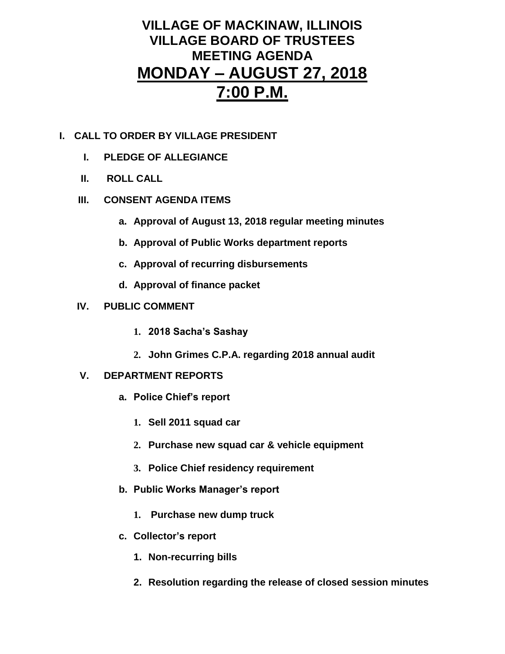### **VILLAGE OF MACKINAW, ILLINOIS VILLAGE BOARD OF TRUSTEES MEETING AGENDA MONDAY – AUGUST 27, 2018 7:00 P.M.**

- **I. CALL TO ORDER BY VILLAGE PRESIDENT**
	- **I. PLEDGE OF ALLEGIANCE**
	- **II. ROLL CALL**
	- **III. CONSENT AGENDA ITEMS** 
		- **a. Approval of August 13, 2018 regular meeting minutes**
		- **b. Approval of Public Works department reports**
		- **c. Approval of recurring disbursements**
		- **d. Approval of finance packet**
	- **IV. PUBLIC COMMENT**
		- **1. 2018 Sacha's Sashay**
		- **2. John Grimes C.P.A. regarding 2018 annual audit**
	- **V. DEPARTMENT REPORTS** 
		- **a. Police Chief's report**
			- **1. Sell 2011 squad car**
			- **2. Purchase new squad car & vehicle equipment**
			- **3. Police Chief residency requirement**
		- **b. Public Works Manager's report**
			- **1. Purchase new dump truck**
		- **c. Collector's report**
			- **1. Non-recurring bills**
			- **2. Resolution regarding the release of closed session minutes**